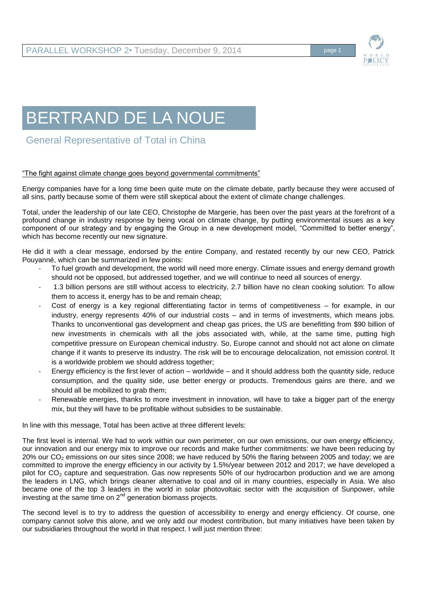

## BERTRAND DE LA NOUE

General Representative of Total in China

## "The fight against climate change goes beyond governmental commitments"

Energy companies have for a long time been quite mute on the climate debate, partly because they were accused of all sins, partly because some of them were still skeptical about the extent of climate change challenges.

Total, under the leadership of our late CEO, Christophe de Margerie, has been over the past years at the forefront of a profound change in industry response by being vocal on climate change, by putting environmental issues as a key component of our strategy and by engaging the Group in a new development model, "Committed to better energy", which has become recently our new signature.

He did it with a clear message, endorsed by the entire Company, and restated recently by our new CEO, Patrick Pouyanné, which can be summarized in few points:

- To fuel growth and development, the world will need more energy. Climate issues and energy demand growth should not be opposed, but addressed together, and we will continue to need all sources of energy.
- 1.3 billion persons are still without access to electricity, 2.7 billion have no clean cooking solution: To allow them to access it, energy has to be and remain cheap;
- Cost of energy is a key regional differentiating factor in terms of competitiveness for example, in our industry, energy represents 40% of our industrial costs – and in terms of investments, which means jobs. Thanks to unconventional gas development and cheap gas prices, the US are benefitting from \$90 billion of new investments in chemicals with all the jobs associated with, while, at the same time, putting high competitive pressure on European chemical industry. So, Europe cannot and should not act alone on climate change if it wants to preserve its industry. The risk will be to encourage delocalization, not emission control. It is a worldwide problem we should address together;
- Energy efficiency is the first lever of action worldwide and it should address both the quantity side, reduce consumption, and the quality side, use better energy or products. Tremendous gains are there, and we should all be mobilized to grab them;
- Renewable energies, thanks to more investment in innovation, will have to take a bigger part of the energy mix, but they will have to be profitable without subsidies to be sustainable.

In line with this message, Total has been active at three different levels:

The first level is internal. We had to work within our own perimeter, on our own emissions, our own energy efficiency, our innovation and our energy mix to improve our records and make further commitments: we have been reducing by 20% our  $CO<sub>2</sub>$  emissions on our sites since 2008; we have reduced by 50% the flaring between 2005 and today; we are committed to improve the energy efficiency in our activity by 1.5%/year between 2012 and 2017; we have developed a pilot for  $CO<sub>2</sub>$  capture and sequestration. Gas now represents 50% of our hydrocarbon production and we are among the leaders in LNG, which brings cleaner alternative to coal and oil in many countries, especially in Asia. We also became one of the top 3 leaders in the world in solar photovoltaic sector with the acquisition of Sunpower, while investing at the same time on  $2^{nd}$  generation biomass projects.

The second level is to try to address the question of accessibility to energy and energy efficiency. Of course, one company cannot solve this alone, and we only add our modest contribution, but many initiatives have been taken by our subsidiaries throughout the world in that respect. I will just mention three: